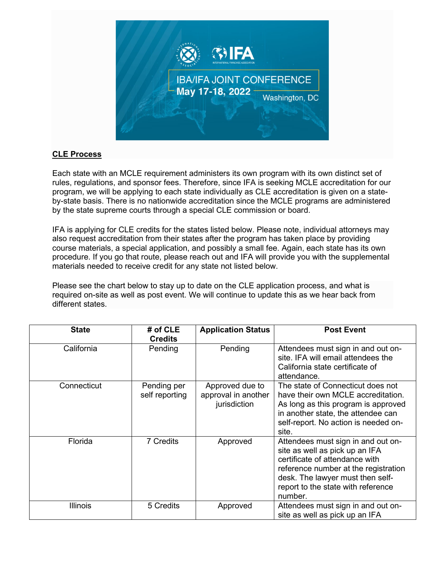

## **CLE Process**

Each state with an MCLE requirement administers its own program with its own distinct set of rules, regulations, and sponsor fees. Therefore, since IFA is seeking MCLE accreditation for our program, we will be applying to each state individually as CLE accreditation is given on a stateby-state basis. There is no nationwide accreditation since the MCLE programs are administered by the state supreme courts through a special CLE commission or board.

IFA is applying for CLE credits for the states listed below. Please note, individual attorneys may also request accreditation from their states after the program has taken place by providing course materials, a special application, and possibly a small fee. Again, each state has its own procedure. If you go that route, please reach out and IFA will provide you with the supplemental materials needed to receive credit for any state not listed below.

Please see the chart below to stay up to date on the CLE application process, and what is required on-site as well as post event. We will continue to update this as we hear back from different states.

| <b>State</b>    | # of CLE<br><b>Credits</b>    | <b>Application Status</b>                              | <b>Post Event</b>                                                                                                                                                                                                                   |
|-----------------|-------------------------------|--------------------------------------------------------|-------------------------------------------------------------------------------------------------------------------------------------------------------------------------------------------------------------------------------------|
| California      | Pending                       | Pending                                                | Attendees must sign in and out on-<br>site. IFA will email attendees the<br>California state certificate of<br>attendance.                                                                                                          |
| Connecticut     | Pending per<br>self reporting | Approved due to<br>approval in another<br>jurisdiction | The state of Connecticut does not<br>have their own MCLE accreditation.<br>As long as this program is approved<br>in another state, the attendee can<br>self-report. No action is needed on-<br>site.                               |
| Florida         | 7 Credits                     | Approved                                               | Attendees must sign in and out on-<br>site as well as pick up an IFA<br>certificate of attendance with<br>reference number at the registration<br>desk. The lawyer must then self-<br>report to the state with reference<br>number. |
| <b>Illinois</b> | 5 Credits                     | Approved                                               | Attendees must sign in and out on-<br>site as well as pick up an IFA                                                                                                                                                                |